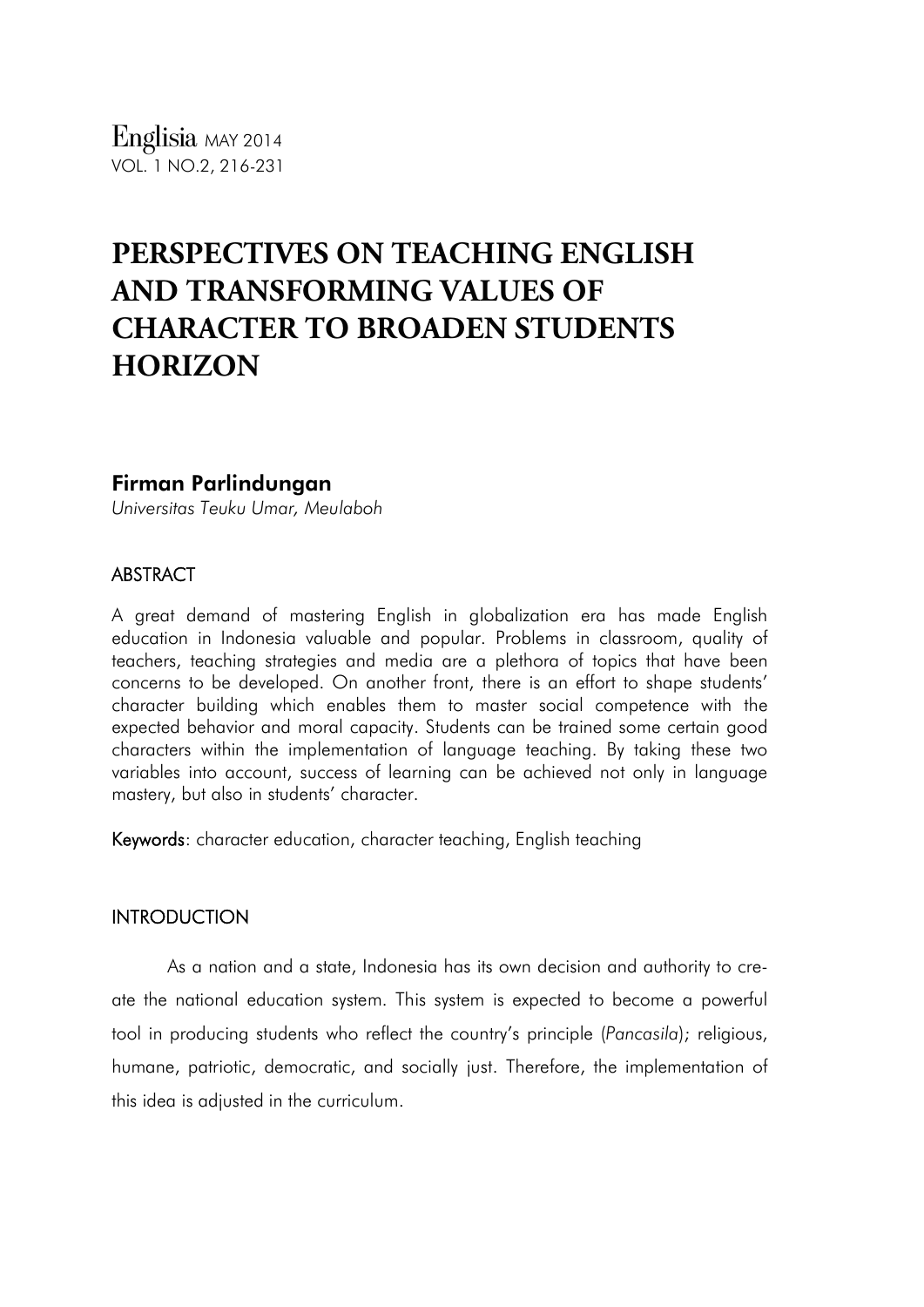# **PERSPECTIVES ON TEACHING ENGLISH AND TRANSFORMING VALUES OF CHARACTER TO BROADEN STUDENTS HORIZON**

# Firman Parlindungan

*Universitas Teuku Umar, Meulaboh*

## ABSTRACT

A great demand of mastering English in globalization era has made English education in Indonesia valuable and popular. Problems in classroom, quality of teachers, teaching strategies and media are a plethora of topics that have been concerns to be developed. On another front, there is an effort to shape students' character building which enables them to master social competence with the expected behavior and moral capacity. Students can be trained some certain good characters within the implementation of language teaching. By taking these two variables into account, success of learning can be achieved not only in language mastery, but also in students' character.

Keywords: character education, character teaching, English teaching

## **INTRODUCTION**

As a nation and a state, Indonesia has its own decision and authority to create the national education system. This system is expected to become a powerful tool in producing students who reflect the country's principle (*Pancasila*); religious, humane, patriotic, democratic, and socially just. Therefore, the implementation of this idea is adjusted in the curriculum.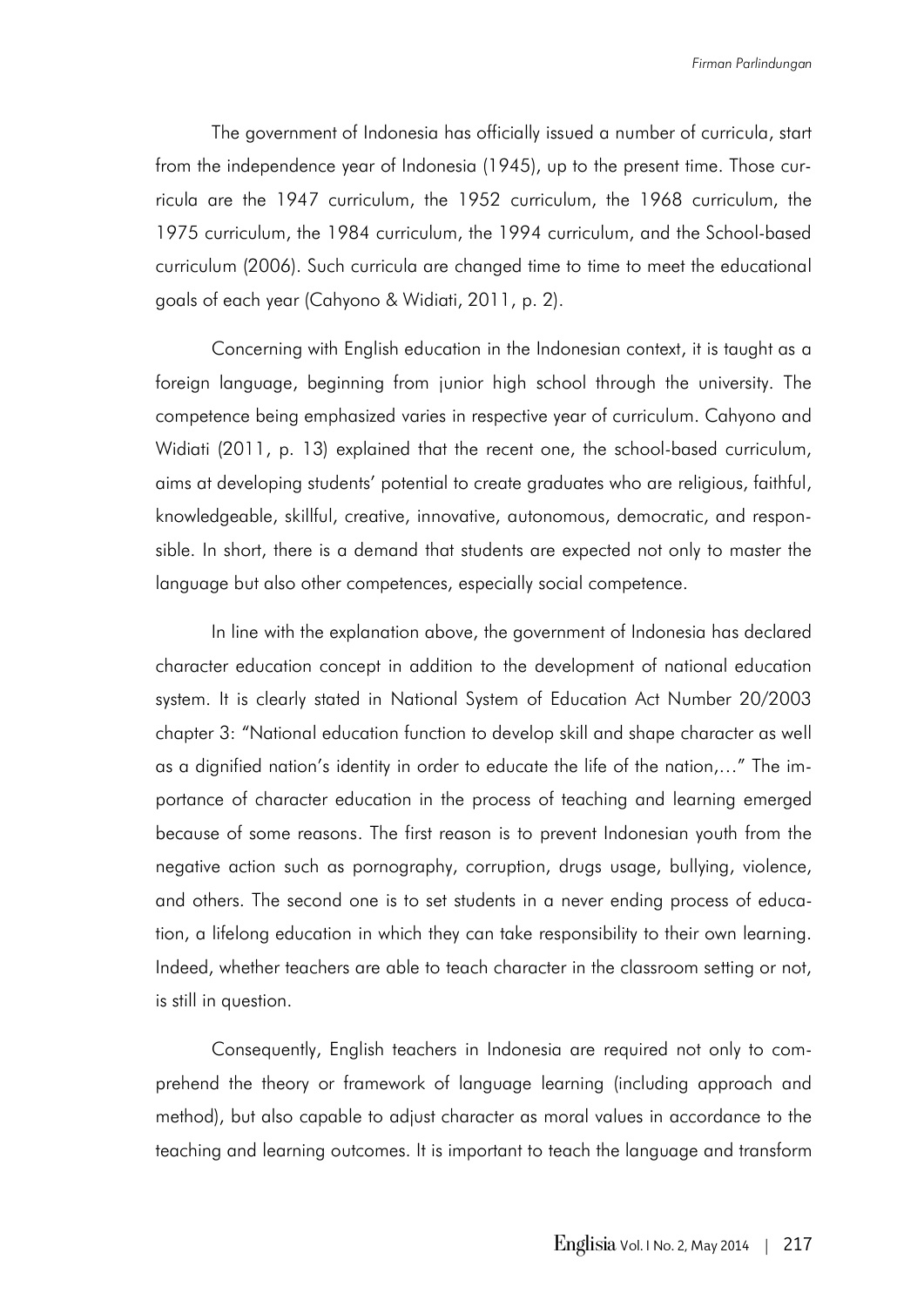The government of Indonesia has officially issued a number of curricula, start from the independence year of Indonesia (1945), up to the present time. Those curricula are the 1947 curriculum, the 1952 curriculum, the 1968 curriculum, the 1975 curriculum, the 1984 curriculum, the 1994 curriculum, and the School-based curriculum (2006). Such curricula are changed time to time to meet the educational goals of each year (Cahyono & Widiati, 2011, p. 2).

Concerning with English education in the Indonesian context, it is taught as a foreign language, beginning from junior high school through the university. The competence being emphasized varies in respective year of curriculum. Cahyono and Widiati (2011, p. 13) explained that the recent one, the school-based curriculum, aims at developing students' potential to create graduates who are religious, faithful, knowledgeable, skillful, creative, innovative, autonomous, democratic, and responsible. In short, there is a demand that students are expected not only to master the language but also other competences, especially social competence.

In line with the explanation above, the government of Indonesia has declared character education concept in addition to the development of national education system. It is clearly stated in National System of Education Act Number 20/2003 chapter 3: "National education function to develop skill and shape character as well as a dignified nation's identity in order to educate the life of the nation,…" The importance of character education in the process of teaching and learning emerged because of some reasons. The first reason is to prevent Indonesian youth from the negative action such as pornography, corruption, drugs usage, bullying, violence, and others. The second one is to set students in a never ending process of education, a lifelong education in which they can take responsibility to their own learning. Indeed, whether teachers are able to teach character in the classroom setting or not, is still in question.

Consequently, English teachers in Indonesia are required not only to comprehend the theory or framework of language learning (including approach and method), but also capable to adjust character as moral values in accordance to the teaching and learning outcomes. It is important to teach the language and transform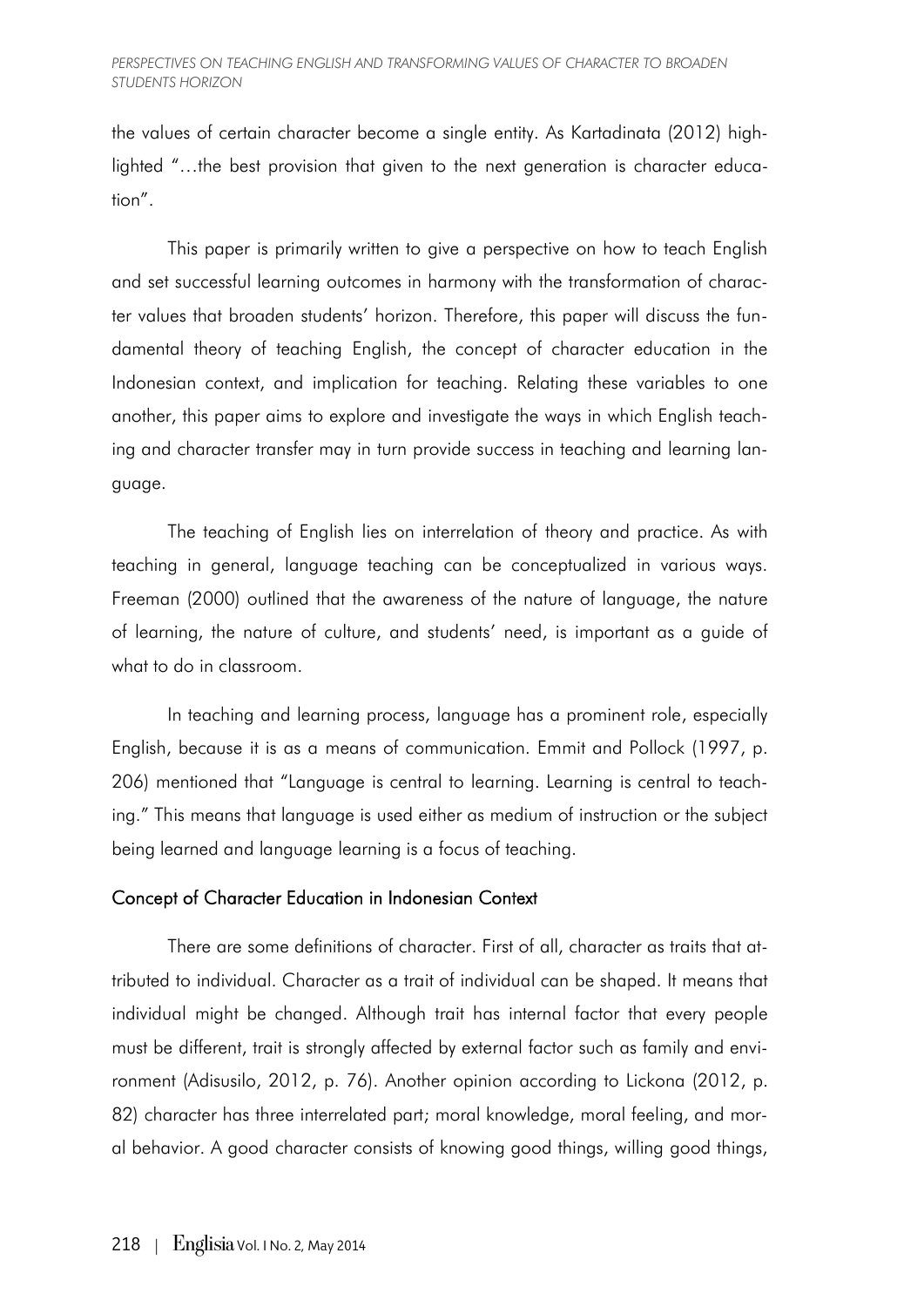#### *PERSPECTIVES ON TEACHING ENGLISH AND TRANSFORMING VALUES OF CHARACTER TO BROADEN STUDENTS HORIZON*

the values of certain character become a single entity. As Kartadinata (2012) highlighted "…the best provision that given to the next generation is character education".

This paper is primarily written to give a perspective on how to teach English and set successful learning outcomes in harmony with the transformation of character values that broaden students' horizon. Therefore, this paper will discuss the fundamental theory of teaching English, the concept of character education in the Indonesian context, and implication for teaching. Relating these variables to one another, this paper aims to explore and investigate the ways in which English teaching and character transfer may in turn provide success in teaching and learning language.

The teaching of English lies on interrelation of theory and practice. As with teaching in general, language teaching can be conceptualized in various ways. Freeman (2000) outlined that the awareness of the nature of language, the nature of learning, the nature of culture, and students' need, is important as a guide of what to do in classroom.

In teaching and learning process, language has a prominent role, especially English, because it is as a means of communication. Emmit and Pollock (1997, p. 206) mentioned that "Language is central to learning. Learning is central to teaching." This means that language is used either as medium of instruction or the subject being learned and language learning is a focus of teaching.

### Concept of Character Education in Indonesian Context

There are some definitions of character. First of all, character as traits that attributed to individual. Character as a trait of individual can be shaped. It means that individual might be changed. Although trait has internal factor that every people must be different, trait is strongly affected by external factor such as family and environment (Adisusilo, 2012, p. 76). Another opinion according to Lickona (2012, p. 82) character has three interrelated part; moral knowledge, moral feeling, and moral behavior. A good character consists of knowing good things, willing good things,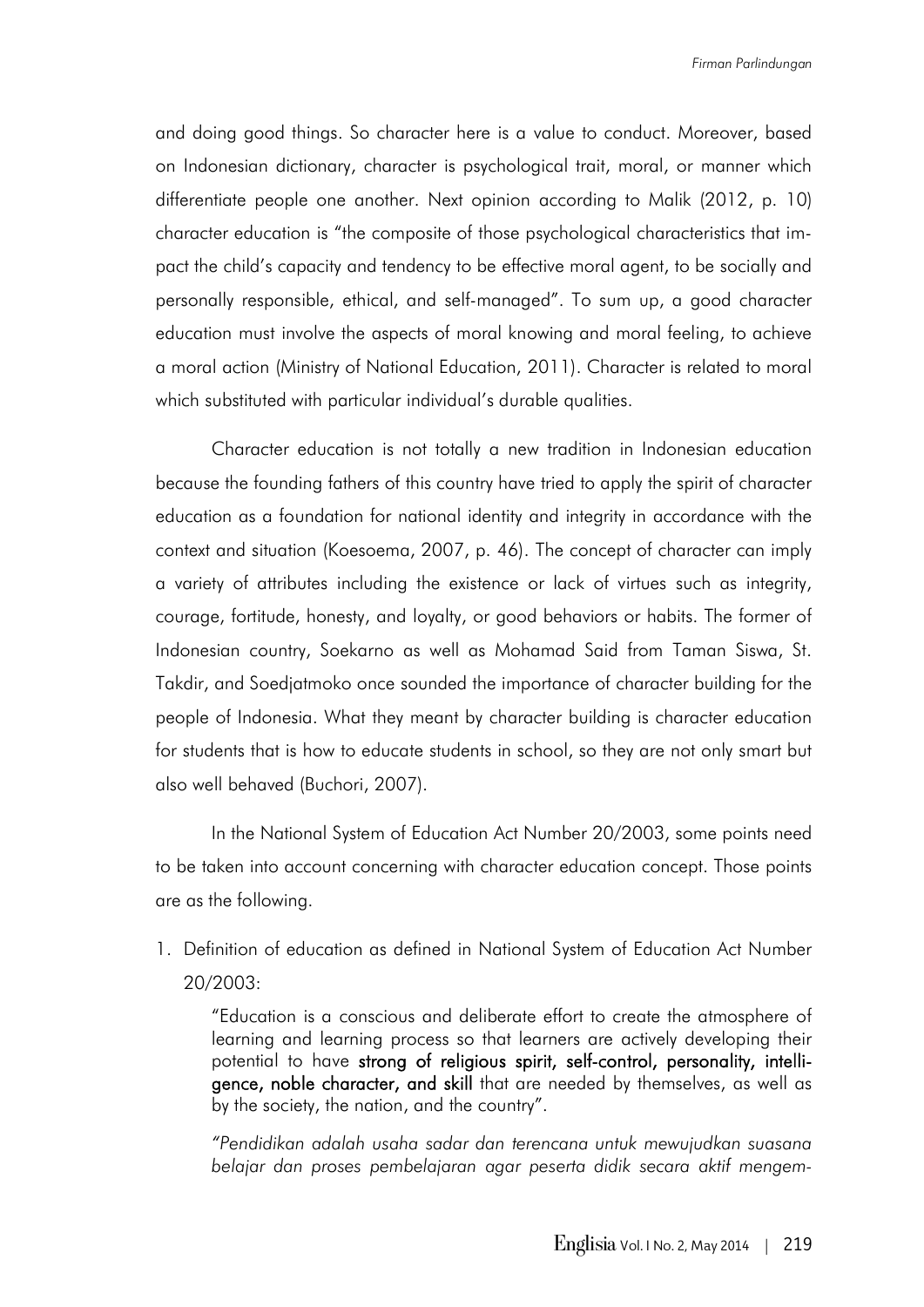and doing good things. So character here is a value to conduct. Moreover, based on Indonesian dictionary, character is psychological trait, moral, or manner which differentiate people one another. Next opinion according to Malik (2012, p. 10) character education is "the composite of those psychological characteristics that impact the child's capacity and tendency to be effective moral agent, to be socially and personally responsible, ethical, and self-managed". To sum up, a good character education must involve the aspects of moral knowing and moral feeling, to achieve a moral action (Ministry of National Education, 2011). Character is related to moral which substituted with particular individual's durable qualities.

Character education is not totally a new tradition in Indonesian education because the founding fathers of this country have tried to apply the spirit of character education as a foundation for national identity and integrity in accordance with the context and situation (Koesoema, 2007, p. 46). The concept of character can imply a variety of attributes including the existence or lack of virtues such as integrity, courage, fortitude, honesty, and loyalty, or good behaviors or habits. The former of Indonesian country, Soekarno as well as Mohamad Said from Taman Siswa, St. Takdir, and Soedjatmoko once sounded the importance of character building for the people of Indonesia. What they meant by character building is character education for students that is how to educate students in school, so they are not only smart but also well behaved (Buchori, 2007).

In the National System of Education Act Number 20/2003, some points need to be taken into account concerning with character education concept. Those points are as the following.

1. Definition of education as defined in National System of Education Act Number 20/2003:

"Education is a conscious and deliberate effort to create the atmosphere of learning and learning process so that learners are actively developing their potential to have strong of religious spirit, self-control, personality, intelligence, noble character, and skill that are needed by themselves, as well as by the society, the nation, and the country".

*"Pendidikan adalah usaha sadar dan terencana untuk mewujudkan suasana belajar dan proses pembelajaran agar peserta didik secara aktif mengem-*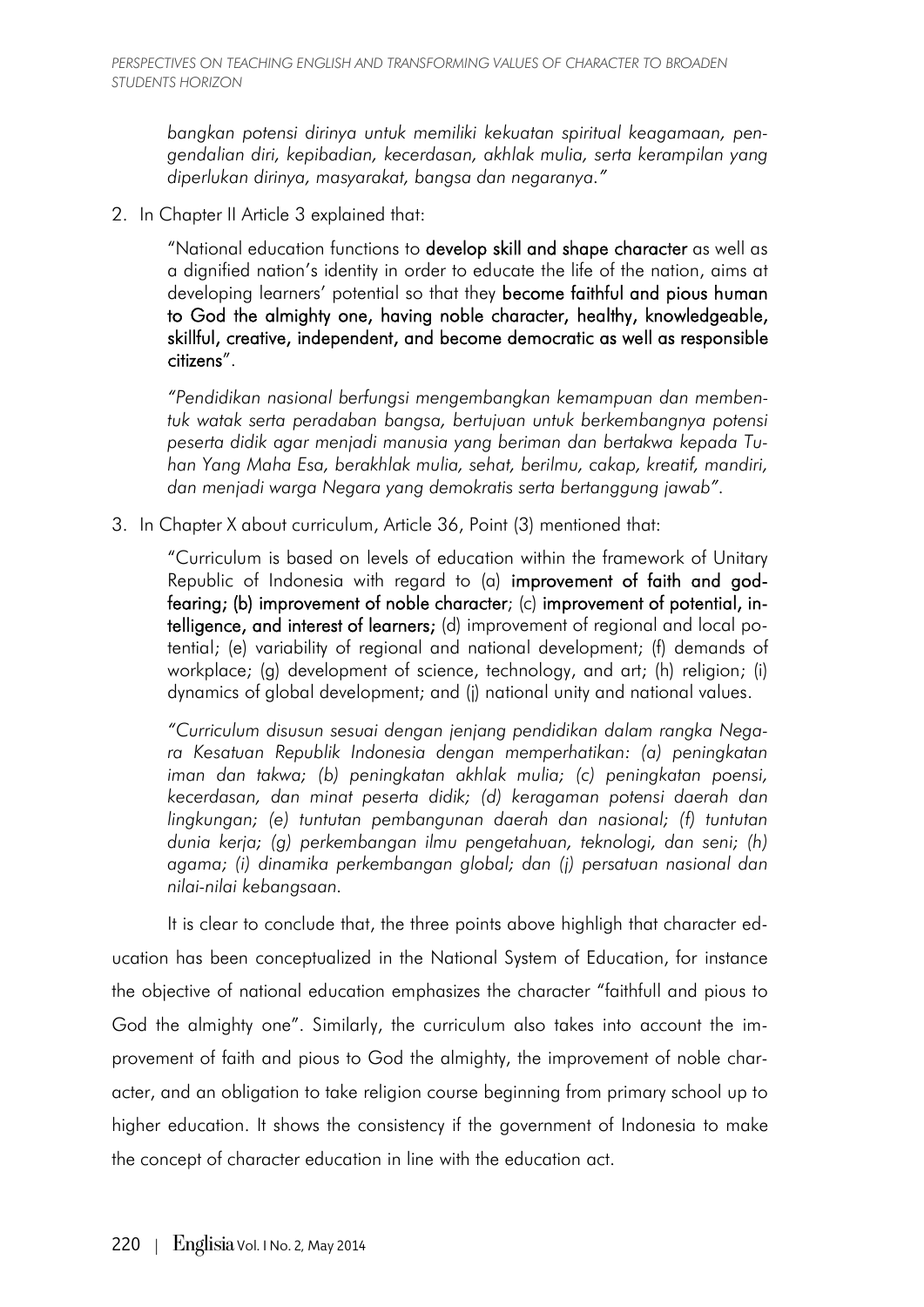*bangkan potensi dirinya untuk memiliki kekuatan spiritual keagamaan, pengendalian diri, kepibadian, kecerdasan, akhlak mulia, serta kerampilan yang diperlukan dirinya, masyarakat, bangsa dan negaranya."* 

2. In Chapter II Article 3 explained that:

"National education functions to develop skill and shape character as well as a dignified nation's identity in order to educate the life of the nation, aims at developing learners' potential so that they become faithful and pious human to God the almighty one, having noble character, healthy, knowledgeable, skillful, creative, independent, and become democratic as well as responsible citizens".

*"Pendidikan nasional berfungsi mengembangkan kemampuan dan membentuk watak serta peradaban bangsa, bertujuan untuk berkembangnya potensi peserta didik agar menjadi manusia yang beriman dan bertakwa kepada Tuhan Yang Maha Esa, berakhlak mulia, sehat, berilmu, cakap, kreatif, mandiri, dan menjadi warga Negara yang demokratis serta bertanggung jawab".*

3. In Chapter X about curriculum, Article 36, Point (3) mentioned that:

"Curriculum is based on levels of education within the framework of Unitary Republic of Indonesia with regard to  $(a)$  improvement of faith and godfearing; (b) improvement of noble character; (c) improvement of potential, intelligence, and interest of learners; (d) improvement of regional and local potential; (e) variability of regional and national development; (f) demands of workplace; (g) development of science, technology, and art; (h) religion; (i) dynamics of global development; and (j) national unity and national values.

*"Curriculum disusun sesuai dengan jenjang pendidikan dalam rangka Negara Kesatuan Republik Indonesia dengan memperhatikan: (a) peningkatan iman dan takwa; (b) peningkatan akhlak mulia; (c) peningkatan poensi, kecerdasan, dan minat peserta didik; (d) keragaman potensi daerah dan lingkungan; (e) tuntutan pembangunan daerah dan nasional; (f) tuntutan dunia kerja; (g) perkembangan ilmu pengetahuan, teknologi, dan seni; (h) agama; (i) dinamika perkembangan global; dan (j) persatuan nasional dan nilai-nilai kebangsaan.* 

It is clear to conclude that, the three points above highligh that character education has been conceptualized in the National System of Education, for instance the objective of national education emphasizes the character "faithfull and pious to God the almighty one". Similarly, the curriculum also takes into account the improvement of faith and pious to God the almighty, the improvement of noble character, and an obligation to take religion course beginning from primary school up to higher education. It shows the consistency if the government of Indonesia to make the concept of character education in line with the education act.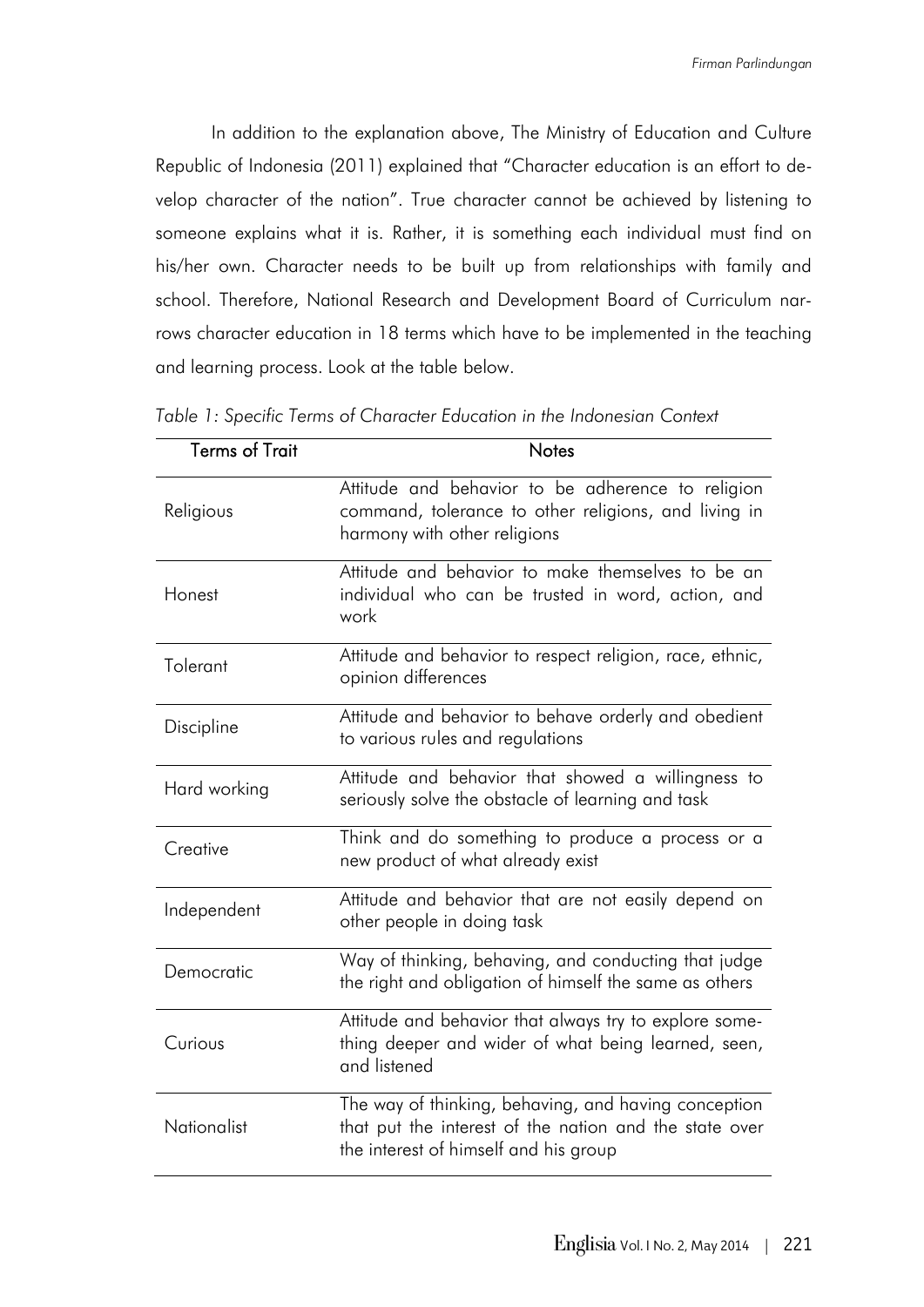In addition to the explanation above, The Ministry of Education and Culture Republic of Indonesia (2011) explained that "Character education is an effort to develop character of the nation". True character cannot be achieved by listening to someone explains what it is. Rather, it is something each individual must find on his/her own. Character needs to be built up from relationships with family and school. Therefore, National Research and Development Board of Curriculum narrows character education in 18 terms which have to be implemented in the teaching and learning process. Look at the table below.

| <b>Terms of Trait</b> | <b>Notes</b>                                                                                                                                            |
|-----------------------|---------------------------------------------------------------------------------------------------------------------------------------------------------|
| Religious             | Attitude and behavior to be adherence to religion<br>command, tolerance to other religions, and living in<br>harmony with other religions               |
| Honest                | Attitude and behavior to make themselves to be an<br>individual who can be trusted in word, action, and<br>work                                         |
| Tolerant              | Attitude and behavior to respect religion, race, ethnic,<br>opinion differences                                                                         |
| Discipline            | Attitude and behavior to behave orderly and obedient<br>to various rules and regulations                                                                |
| Hard working          | Attitude and behavior that showed a willingness to<br>seriously solve the obstacle of learning and task                                                 |
| Creative              | Think and do something to produce a process or a<br>new product of what already exist                                                                   |
| Independent           | Attitude and behavior that are not easily depend on<br>other people in doing task                                                                       |
| Democratic            | Way of thinking, behaving, and conducting that judge<br>the right and obligation of himself the same as others                                          |
| Curious               | Attitude and behavior that always try to explore some-<br>thing deeper and wider of what being learned, seen,<br>and listened                           |
| <b>Nationalist</b>    | The way of thinking, behaving, and having conception<br>that put the interest of the nation and the state over<br>the interest of himself and his group |

*Table 1: Specific Terms of Character Education in the Indonesian Context*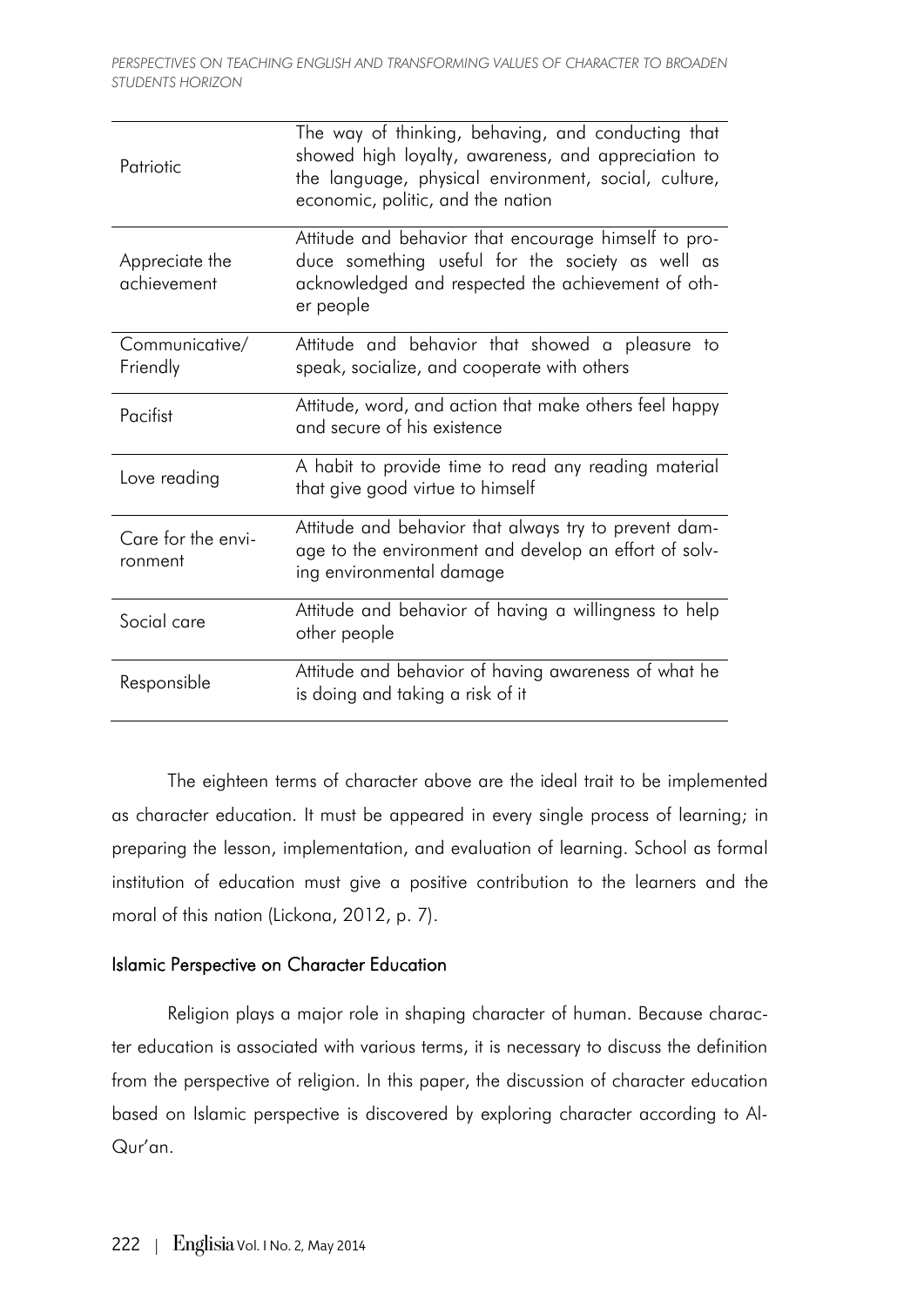| Patriotic                     | The way of thinking, behaving, and conducting that<br>showed high loyalty, awareness, and appreciation to<br>the language, physical environment, social, culture,<br>economic, politic, and the nation |
|-------------------------------|--------------------------------------------------------------------------------------------------------------------------------------------------------------------------------------------------------|
| Appreciate the<br>achievement | Attitude and behavior that encourage himself to pro-<br>duce something useful for the society as well as<br>acknowledged and respected the achievement of oth-<br>er people                            |
| Communicative/<br>Friendly    | Attitude and behavior that showed a pleasure to<br>speak, socialize, and cooperate with others                                                                                                         |
| Pacifist                      | Attitude, word, and action that make others feel happy<br>and secure of his existence                                                                                                                  |
| Love reading                  | A habit to provide time to read any reading material<br>that give good virtue to himself                                                                                                               |
| Care for the envi-<br>ronment | Attitude and behavior that always try to prevent dam-<br>age to the environment and develop an effort of solv-<br>ing environmental damage                                                             |
| Social care                   | Attitude and behavior of having a willingness to help<br>other people                                                                                                                                  |
| Responsible                   | Attitude and behavior of having awareness of what he<br>is doing and taking a risk of it                                                                                                               |

The eighteen terms of character above are the ideal trait to be implemented as character education. It must be appeared in every single process of learning; in preparing the lesson, implementation, and evaluation of learning. School as formal institution of education must give a positive contribution to the learners and the moral of this nation (Lickona, 2012, p. 7).

## Islamic Perspective on Character Education

Religion plays a major role in shaping character of human. Because character education is associated with various terms, it is necessary to discuss the definition from the perspective of religion. In this paper, the discussion of character education based on Islamic perspective is discovered by exploring character according to Al-Qur'an.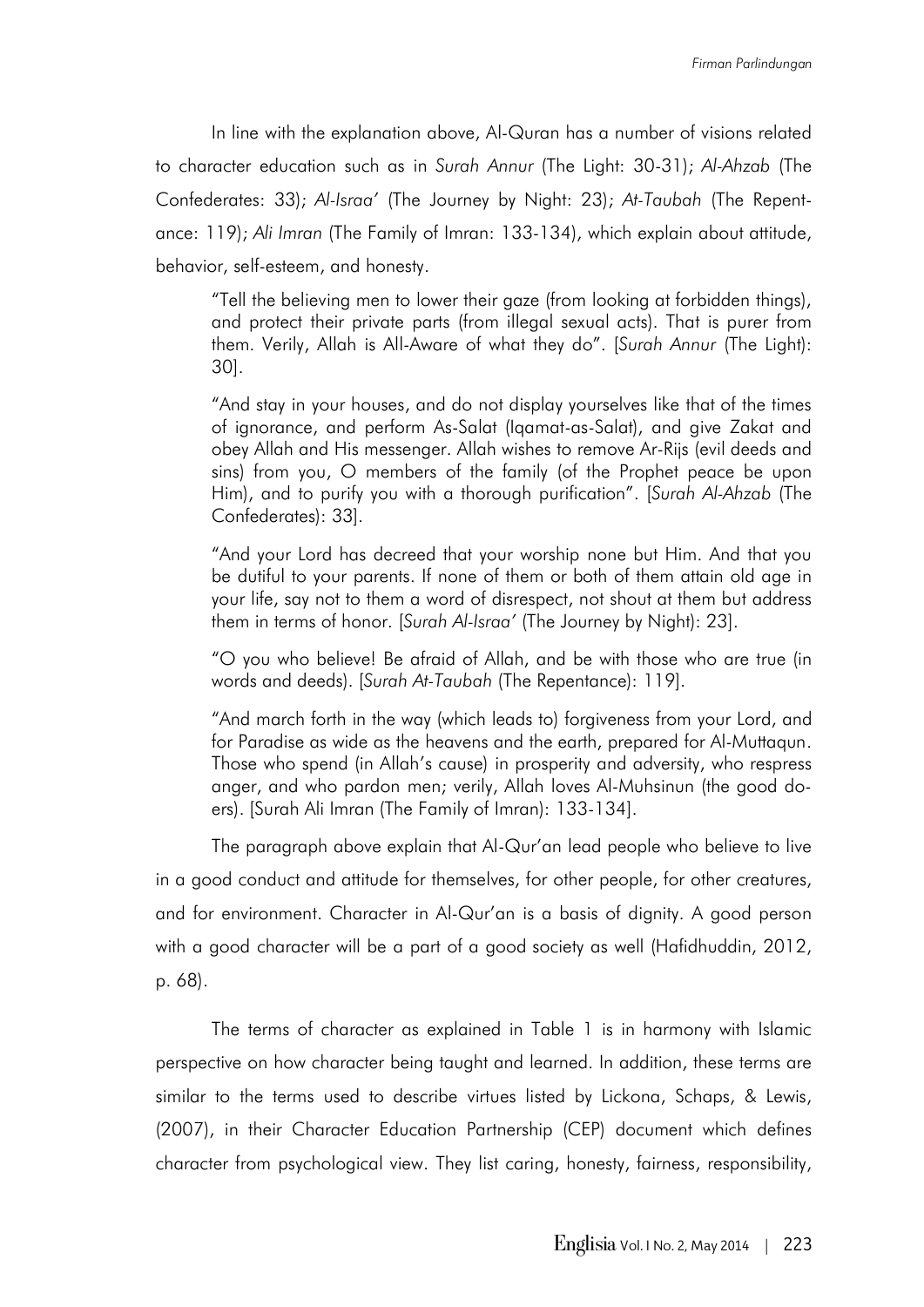In line with the explanation above, Al-Quran has a number of visions related to character education such as in *Surah Annur* (The Light: 30-31); *Al-Ahzab* (The Confederates: 33); *Al-Israa'* (The Journey by Night: 23); *At-Taubah* (The Repentance: 119); *Ali Imran* (The Family of Imran: 133-134), which explain about attitude, behavior, self-esteem, and honesty.

"Tell the believing men to lower their gaze (from looking at forbidden things), and protect their private parts (from illegal sexual acts). That is purer from them. Verily, Allah is All-Aware of what they do". [*Surah Annur* (The Light): 30].

"And stay in your houses, and do not display yourselves like that of the times of ignorance, and perform As-Salat (Iqamat-as-Salat), and give Zakat and obey Allah and His messenger. Allah wishes to remove Ar-Rijs (evil deeds and sins) from you, O members of the family (of the Prophet peace be upon Him), and to purify you with a thorough purification". [*Surah Al-Ahzab* (The Confederates): 33].

"And your Lord has decreed that your worship none but Him. And that you be dutiful to your parents. If none of them or both of them attain old age in your life, say not to them a word of disrespect, not shout at them but address them in terms of honor. [*Surah Al-Israa'* (The Journey by Night): 23].

"O you who believe! Be afraid of Allah, and be with those who are true (in words and deeds). [*Surah At-Taubah* (The Repentance): 119].

"And march forth in the way (which leads to) forgiveness from your Lord, and for Paradise as wide as the heavens and the earth, prepared for Al-Muttaqun. Those who spend (in Allah's cause) in prosperity and adversity, who respress anger, and who pardon men; verily, Allah loves Al-Muhsinun (the good doers). [Surah Ali Imran (The Family of Imran): 133-134].

The paragraph above explain that Al-Qur'an lead people who believe to live in a good conduct and attitude for themselves, for other people, for other creatures, and for environment. Character in Al-Qur'an is a basis of dignity. A good person with a good character will be a part of a good society as well (Hafidhuddin, 2012, p. 68).

The terms of character as explained in Table 1 is in harmony with Islamic perspective on how character being taught and learned. In addition, these terms are similar to the terms used to describe virtues listed by Lickona, Schaps, & Lewis, (2007), in their Character Education Partnership (CEP) document which defines character from psychological view. They list caring, honesty, fairness, responsibility,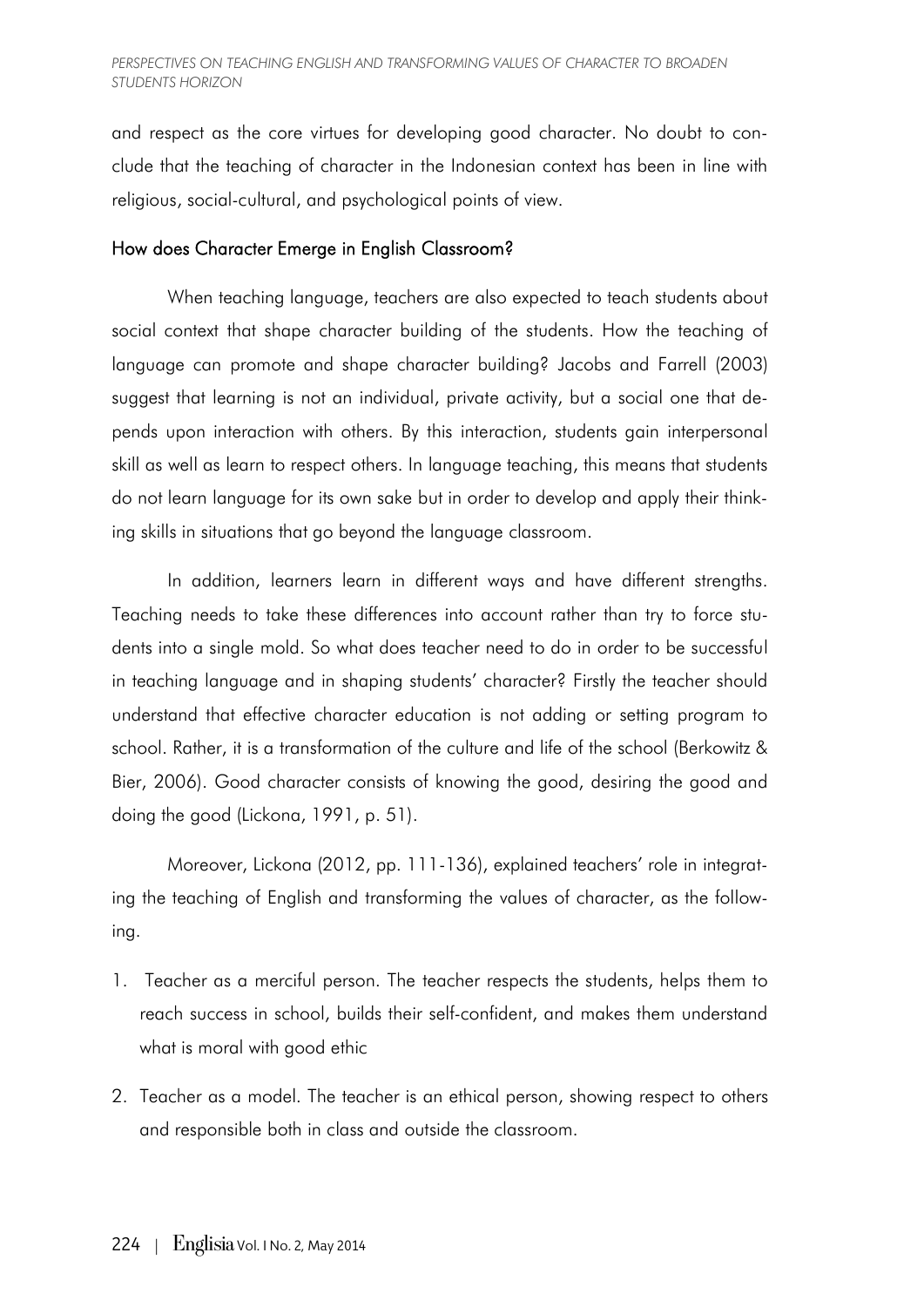and respect as the core virtues for developing good character. No doubt to conclude that the teaching of character in the Indonesian context has been in line with religious, social-cultural, and psychological points of view.

## How does Character Emerge in English Classroom?

When teaching language, teachers are also expected to teach students about social context that shape character building of the students. How the teaching of language can promote and shape character building? Jacobs and Farrell (2003) suggest that learning is not an individual, private activity, but a social one that depends upon interaction with others. By this interaction, students gain interpersonal skill as well as learn to respect others. In language teaching, this means that students do not learn language for its own sake but in order to develop and apply their thinking skills in situations that go beyond the language classroom.

In addition, learners learn in different ways and have different strengths. Teaching needs to take these differences into account rather than try to force students into a single mold. So what does teacher need to do in order to be successful in teaching language and in shaping students' character? Firstly the teacher should understand that effective character education is not adding or setting program to school. Rather, it is a transformation of the culture and life of the school (Berkowitz & Bier, 2006). Good character consists of knowing the good, desiring the good and doing the good (Lickona, 1991, p. 51).

Moreover, Lickona (2012, pp. 111-136), explained teachers' role in integrating the teaching of English and transforming the values of character, as the following.

- 1. Teacher as a merciful person. The teacher respects the students, helps them to reach success in school, builds their self-confident, and makes them understand what is moral with good ethic
- 2. Teacher as a model. The teacher is an ethical person, showing respect to others and responsible both in class and outside the classroom.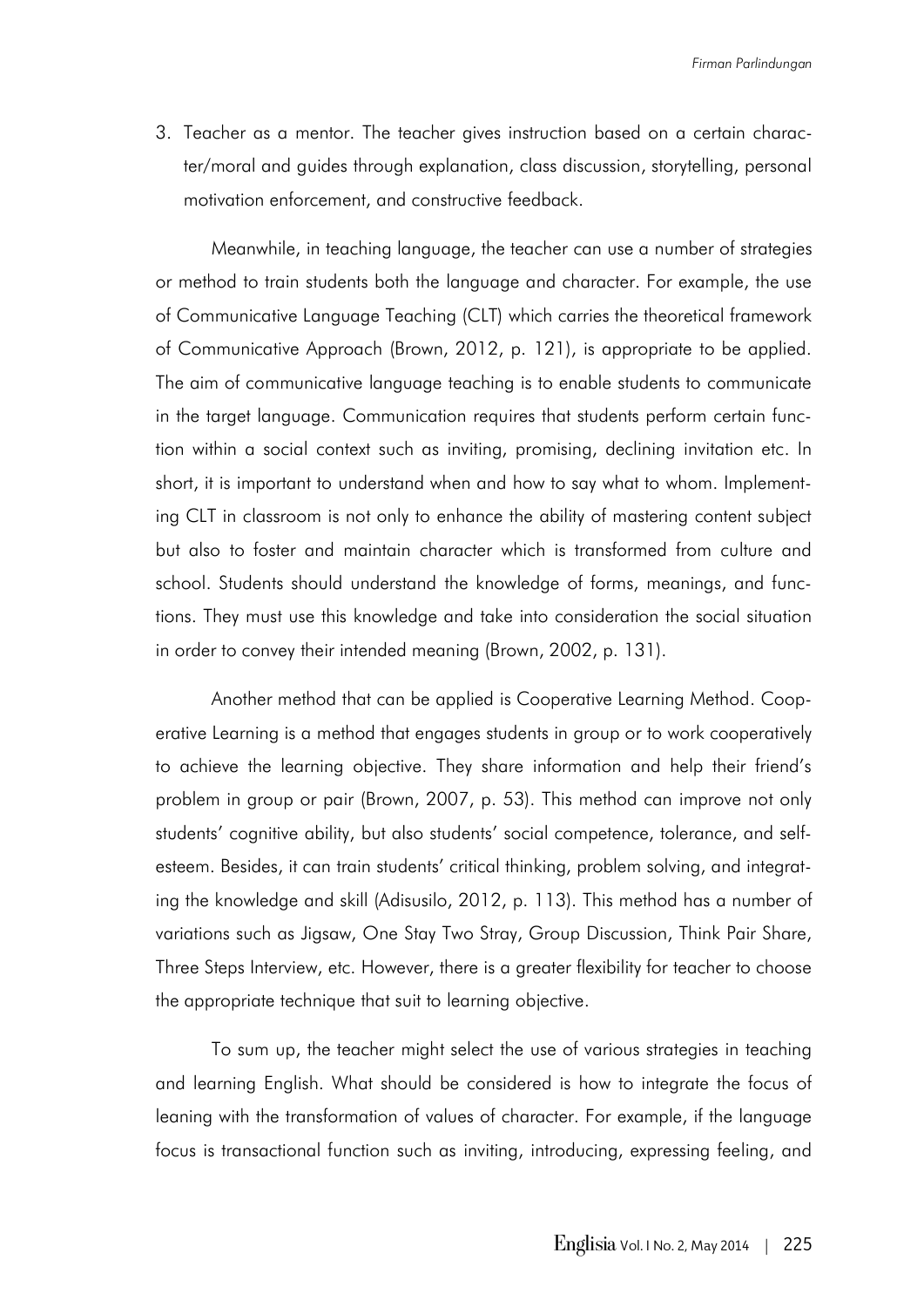3. Teacher as a mentor. The teacher gives instruction based on a certain character/moral and guides through explanation, class discussion, storytelling, personal motivation enforcement, and constructive feedback.

Meanwhile, in teaching language, the teacher can use a number of strategies or method to train students both the language and character. For example, the use of Communicative Language Teaching (CLT) which carries the theoretical framework of Communicative Approach (Brown, 2012, p. 121), is appropriate to be applied. The aim of communicative language teaching is to enable students to communicate in the target language. Communication requires that students perform certain function within a social context such as inviting, promising, declining invitation etc. In short, it is important to understand when and how to say what to whom. Implementing CLT in classroom is not only to enhance the ability of mastering content subject but also to foster and maintain character which is transformed from culture and school. Students should understand the knowledge of forms, meanings, and functions. They must use this knowledge and take into consideration the social situation in order to convey their intended meaning (Brown, 2002, p. 131).

Another method that can be applied is Cooperative Learning Method. Cooperative Learning is a method that engages students in group or to work cooperatively to achieve the learning objective. They share information and help their friend's problem in group or pair (Brown, 2007, p. 53). This method can improve not only students' cognitive ability, but also students' social competence, tolerance, and selfesteem. Besides, it can train students' critical thinking, problem solving, and integrating the knowledge and skill (Adisusilo, 2012, p. 113). This method has a number of variations such as Jigsaw, One Stay Two Stray, Group Discussion, Think Pair Share, Three Steps Interview, etc. However, there is a greater flexibility for teacher to choose the appropriate technique that suit to learning objective.

To sum up, the teacher might select the use of various strategies in teaching and learning English. What should be considered is how to integrate the focus of leaning with the transformation of values of character. For example, if the language focus is transactional function such as inviting, introducing, expressing feeling, and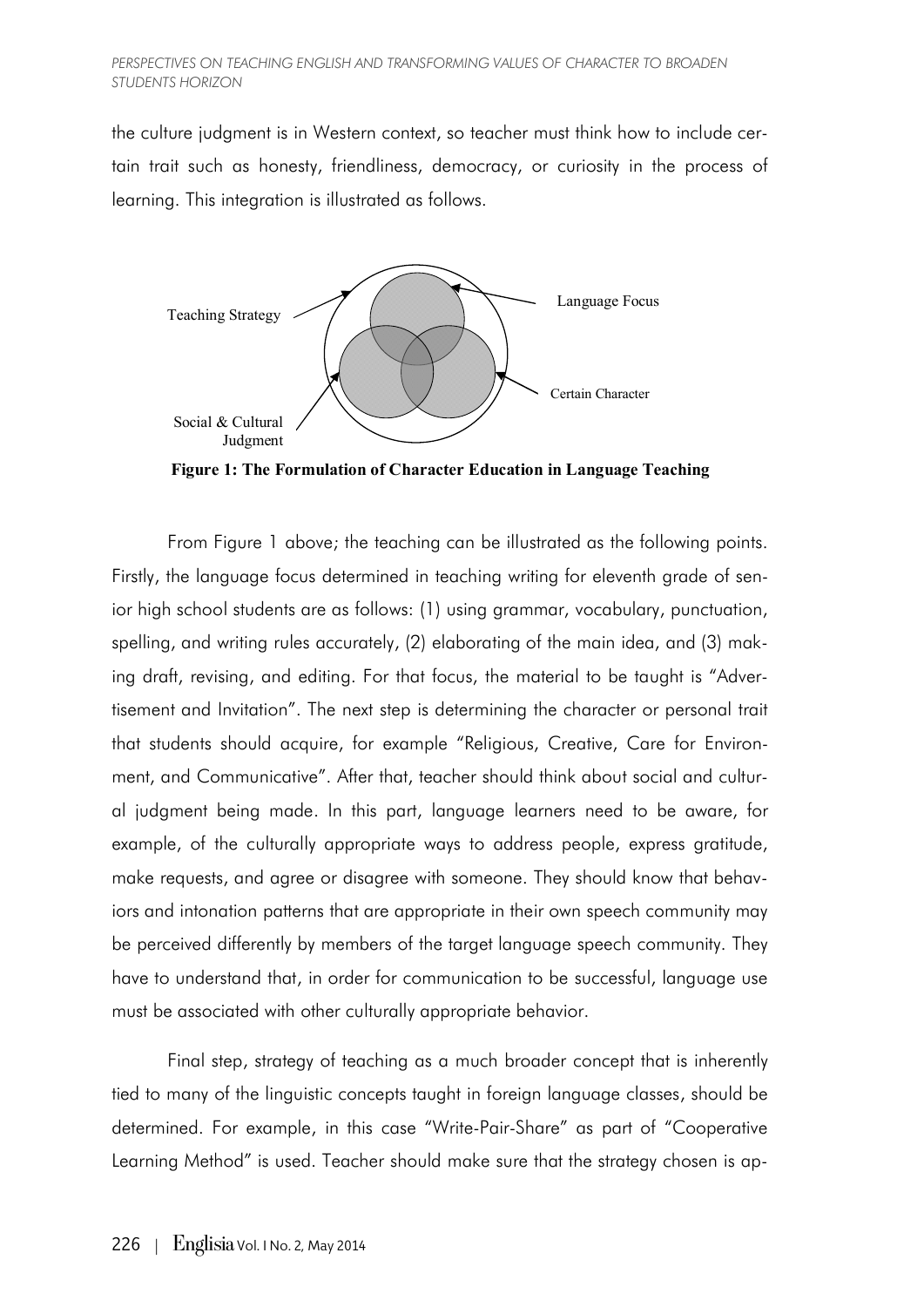the culture judgment is in Western context, so teacher must think how to include certain trait such as honesty, friendliness, democracy, or curiosity in the process of learning. This integration is illustrated as follows.



**Figure 1: The Formulation of Character Education in Language Teaching**

From Figure 1 above; the teaching can be illustrated as the following points. Firstly, the language focus determined in teaching writing for eleventh grade of senior high school students are as follows: (1) using grammar, vocabulary, punctuation, spelling, and writing rules accurately, (2) elaborating of the main idea, and (3) making draft, revising, and editing. For that focus, the material to be taught is "Advertisement and Invitation". The next step is determining the character or personal trait that students should acquire, for example "Religious, Creative, Care for Environment, and Communicative". After that, teacher should think about social and cultural judgment being made. In this part, language learners need to be aware, for example, of the culturally appropriate ways to address people, express gratitude, make requests, and agree or disagree with someone. They should know that behaviors and intonation patterns that are appropriate in their own speech community may be perceived differently by members of the target language speech community. They have to understand that, in order for communication to be successful, language use must be associated with other culturally appropriate behavior.

Final step, strategy of teaching as a much broader concept that is inherently tied to many of the linguistic concepts taught in foreign language classes, should be determined. For example, in this case "Write-Pair-Share" as part of "Cooperative Learning Method" is used. Teacher should make sure that the strategy chosen is ap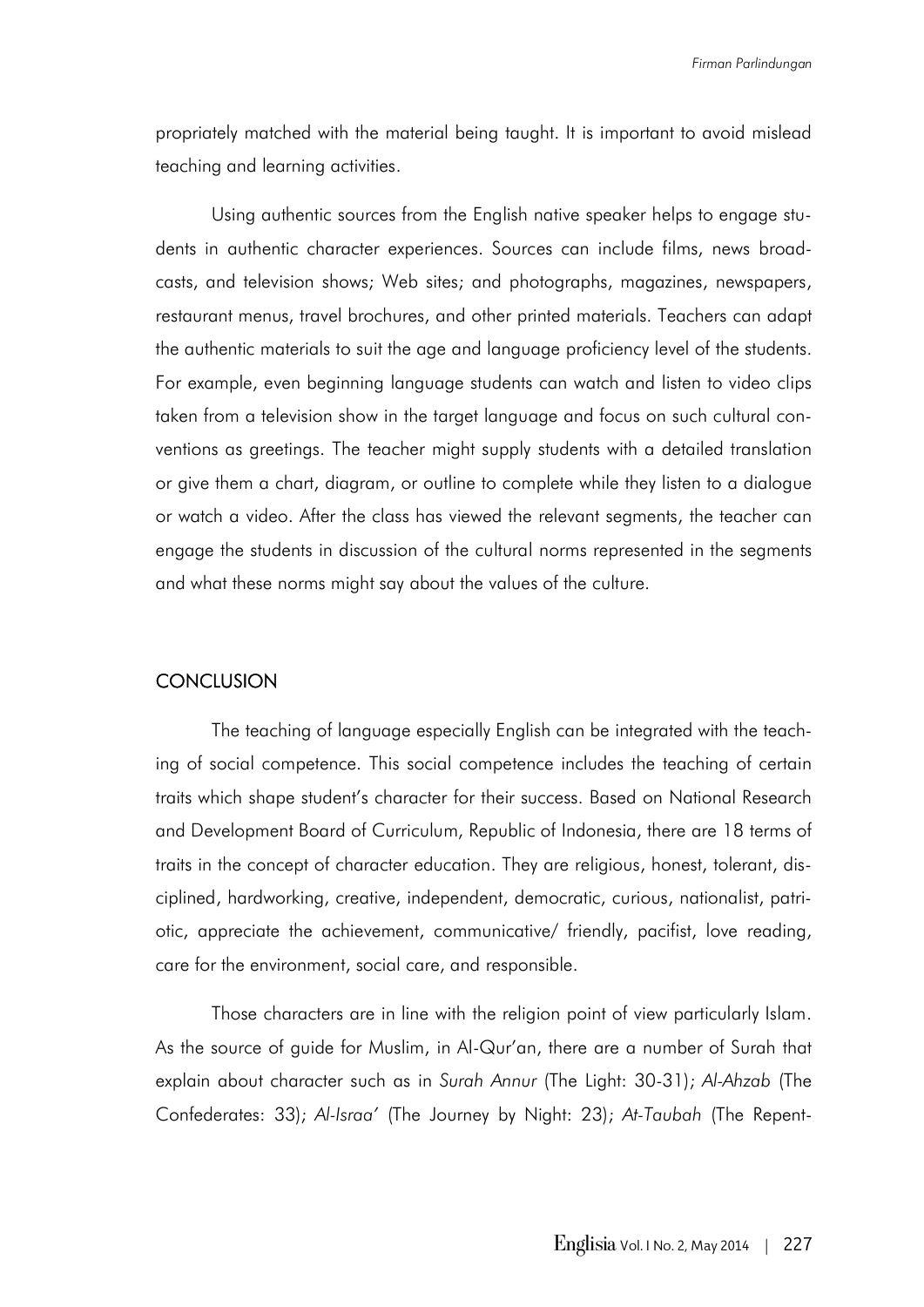propriately matched with the material being taught. It is important to avoid mislead teaching and learning activities.

Using authentic sources from the English native speaker helps to engage students in authentic character experiences. Sources can include films, news broadcasts, and television shows; Web sites; and photographs, magazines, newspapers, restaurant menus, travel brochures, and other printed materials. Teachers can adapt the authentic materials to suit the age and language proficiency level of the students. For example, even beginning language students can watch and listen to video clips taken from a television show in the target language and focus on such cultural conventions as greetings. The teacher might supply students with a detailed translation or give them a chart, diagram, or outline to complete while they listen to a dialogue or watch a video. After the class has viewed the relevant segments, the teacher can engage the students in discussion of the cultural norms represented in the segments and what these norms might say about the values of the culture.

#### **CONCLUSION**

The teaching of language especially English can be integrated with the teaching of social competence. This social competence includes the teaching of certain traits which shape student's character for their success. Based on National Research and Development Board of Curriculum, Republic of Indonesia, there are 18 terms of traits in the concept of character education. They are religious, honest, tolerant, disciplined, hardworking, creative, independent, democratic, curious, nationalist, patriotic, appreciate the achievement, communicative/ friendly, pacifist, love reading, care for the environment, social care, and responsible.

Those characters are in line with the religion point of view particularly Islam. As the source of guide for Muslim, in Al-Qur'an, there are a number of Surah that explain about character such as in *Surah Annur* (The Light: 30-31); *Al-Ahzab* (The Confederates: 33); *Al-Israa'* (The Journey by Night: 23); *At-Taubah* (The Repent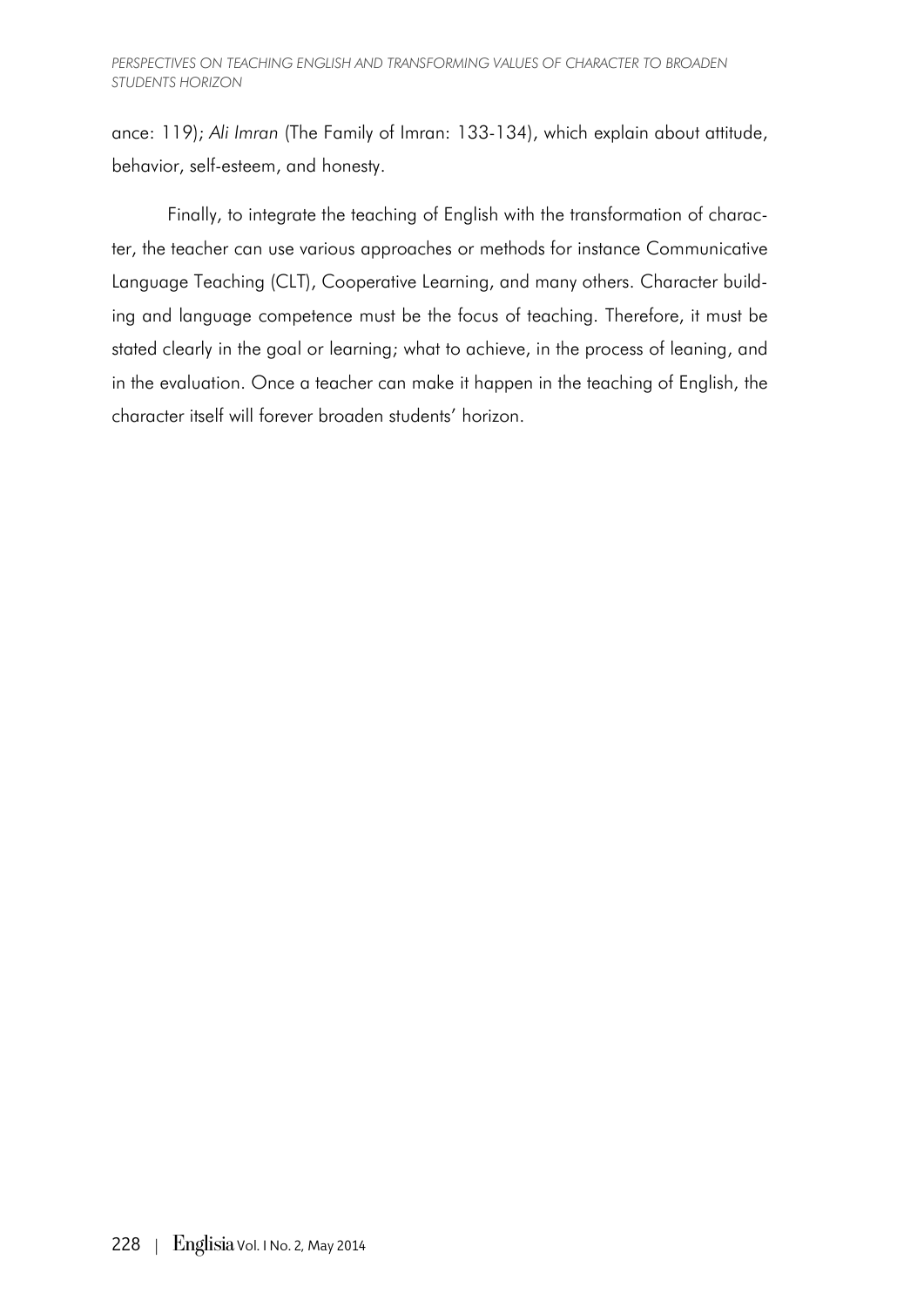ance: 119); *Ali Imran* (The Family of Imran: 133-134), which explain about attitude, behavior, self-esteem, and honesty.

Finally, to integrate the teaching of English with the transformation of character, the teacher can use various approaches or methods for instance Communicative Language Teaching (CLT), Cooperative Learning, and many others. Character building and language competence must be the focus of teaching. Therefore, it must be stated clearly in the goal or learning; what to achieve, in the process of leaning, and in the evaluation. Once a teacher can make it happen in the teaching of English, the character itself will forever broaden students' horizon.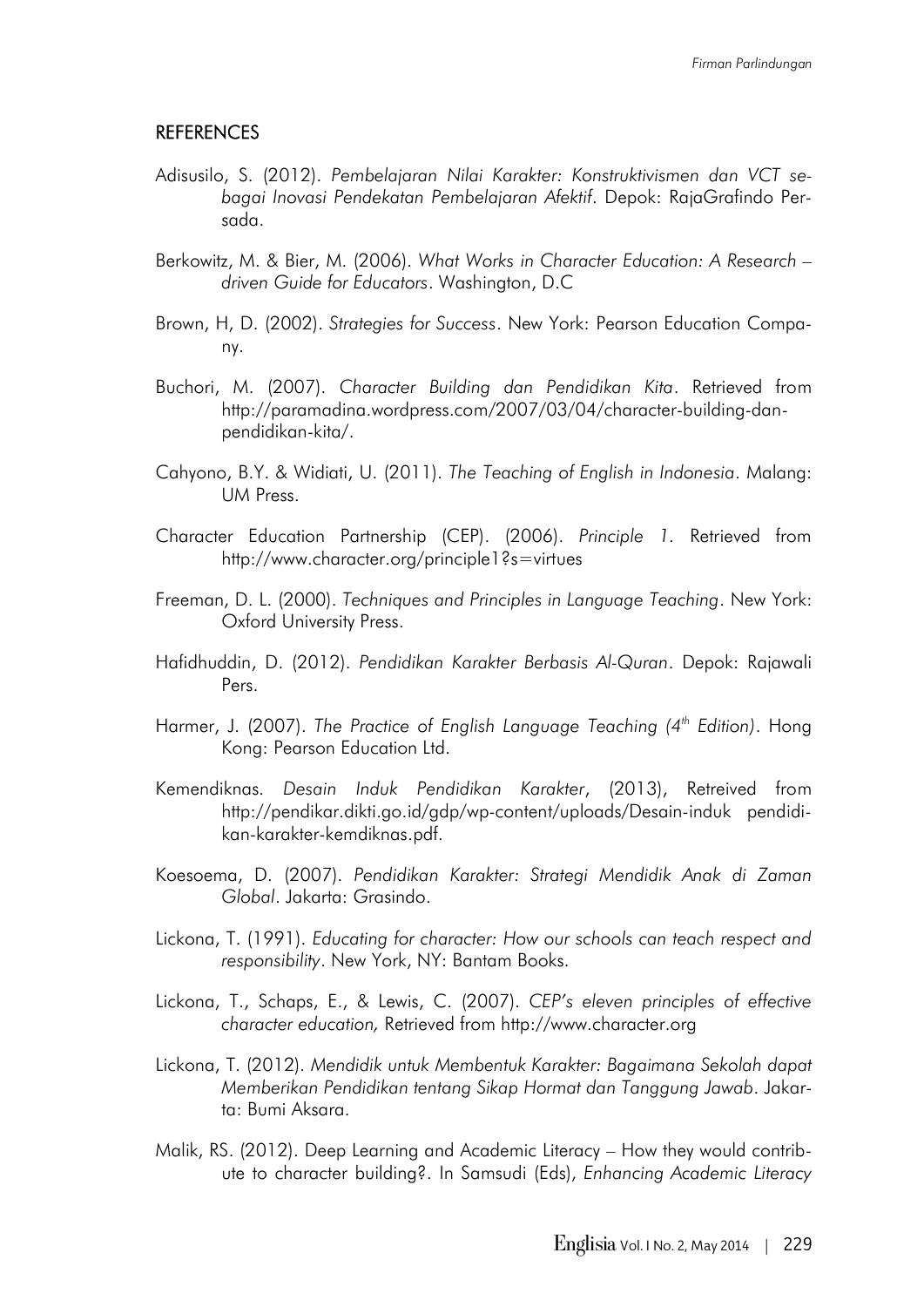#### **REFERENCES**

- Adisusilo, S. (2012). *Pembelajaran Nilai Karakter: Konstruktivismen dan VCT sebagai Inovasi Pendekatan Pembelajaran Afektif*. Depok: RajaGrafindo Persada.
- Berkowitz, M. & Bier, M. (2006). *What Works in Character Education: A Research – driven Guide for Educators*. Washington, D.C
- Brown, H, D. (2002). *Strategies for Success*. New York: Pearson Education Company.
- Buchori, M. (2007). *Character Building dan Pendidikan Kita*. Retrieved from http://paramadina.wordpress.com/2007/03/04/character-building-danpendidikan-kita/.
- Cahyono, B.Y. & Widiati, U. (2011). *The Teaching of English in Indonesia*. Malang: UM Press.
- Character Education Partnership (CEP). (2006). *Principle 1.* Retrieved from http://www.character.org/principle1?s=virtues
- Freeman, D. L. (2000). *Techniques and Principles in Language Teaching*. New York: Oxford University Press.
- Hafidhuddin, D. (2012). *Pendidikan Karakter Berbasis Al-Quran*. Depok: Rajawali Pers.
- Harmer, J. (2007). *The Practice of English Language Teaching (4th Edition)*. Hong Kong: Pearson Education Ltd.
- Kemendiknas. *Desain Induk Pendidikan Karakter*, (2013), Retreived from http://pendikar.dikti.go.id/gdp/wp-content/uploads/Desain-induk pendidikan-karakter-kemdiknas.pdf.
- Koesoema, D. (2007). *Pendidikan Karakter: Strategi Mendidik Anak di Zaman Global*. Jakarta: Grasindo.
- Lickona, T. (1991). *Educating for character: How our schools can teach respect and responsibility*. New York, NY: Bantam Books.
- Lickona, T., Schaps, E., & Lewis, C. (2007). *CEP's eleven principles of effective character education,* Retrieved from http://www.character.org
- Lickona, T. (2012). *Mendidik untuk Membentuk Karakter: Bagaimana Sekolah dapat Memberikan Pendidikan tentang Sikap Hormat dan Tanggung Jawab*. Jakarta: Bumi Aksara.
- Malik, RS. (2012). Deep Learning and Academic Literacy How they would contribute to character building?. In Samsudi (Eds), *Enhancing Academic Literacy*